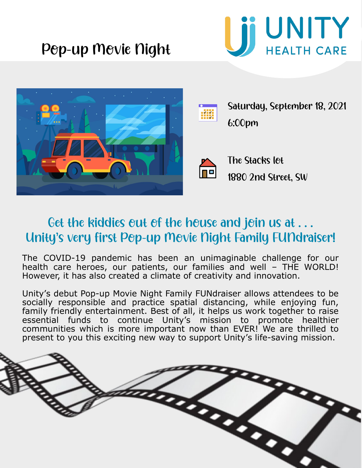





Saturday, September 18, 2021 6:00pm



The Stacks lot 1880 2nd Street, SW

#### Get the kiddies out of the house and join us at ... Unity's very first Pop-up Movie Night Family FUNdraiser!

The COVID-19 pandemic has been an unimaginable challenge for our health care heroes, our patients, our families and well - THE WORLD! However, it has also created a climate of creativity and innovation.

Unity's debut Pop-up Movie Night Family FUNdraiser allows attendees to be socially responsible and practice spatial distancing, while enjoying fun, family friendly entertainment. Best of all, it helps us work together to raise essential funds to continue Unity's mission to promote healthier communities which is more important now than EVER! We are thrilled to present to you this exciting new way to support Unity's life-saving mission.

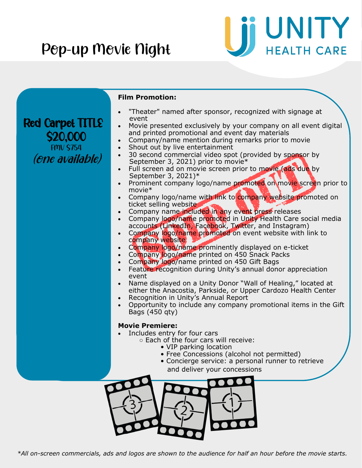

| $\bullet$<br>Company logo/name printed on 450 Gift Bags<br>Feature recognition during Unity's annual donor appreciation<br>event<br>Name displayed on a Unity Donor "Wall of Healing," located at<br>either the Anacostia, Parkside, or Upper Cardozo Health Center<br>Recognition in Unity's Annual Report<br>Bags (450 qty)<br><b>Movie Premiere:</b><br>Includes entry for four cars<br>○ Each of the four cars will receive: | <b>Red Carpet TITLE</b><br><b>20.000</b><br><b>FMV \$754</b><br><i>(ene available)</i> | <b>Film Promotion:</b><br>"Theater" named after sponsor, recognized with signage at<br>event<br>Movie presented exclusively by your company on all event digital<br>and printed promotional and event day materials<br>Company/name mention during remarks prior to movie<br>Shout out by live entertainment<br>$\bullet$<br>30 second commercial video spot (provided by sponsor by<br>$\bullet$<br>September 3, 2021) prior to movie*<br>Full screen ad on movie screen prior to movie (ads due by<br>September 3, 2021)*<br>Prominent company logo/name promoted on movie screen prior to<br>movie*<br>Company logo/name with link to company website promoted on<br>ticket selling website<br>Company name included in any event press releases<br>Company logo/name promoted in Unity Health Care social media<br>$\bullet$<br>accounts (LinkedIn, Facebook, Twitter, and Instagram)<br>Company logo/name promoted on event website with link to<br>company website<br>Company logo/name prominently displayed on e-ticket<br>$\bullet$<br>Company logo/name printed on 450 Snack Packs |
|----------------------------------------------------------------------------------------------------------------------------------------------------------------------------------------------------------------------------------------------------------------------------------------------------------------------------------------------------------------------------------------------------------------------------------|----------------------------------------------------------------------------------------|----------------------------------------------------------------------------------------------------------------------------------------------------------------------------------------------------------------------------------------------------------------------------------------------------------------------------------------------------------------------------------------------------------------------------------------------------------------------------------------------------------------------------------------------------------------------------------------------------------------------------------------------------------------------------------------------------------------------------------------------------------------------------------------------------------------------------------------------------------------------------------------------------------------------------------------------------------------------------------------------------------------------------------------------------------------------------------------------|
|                                                                                                                                                                                                                                                                                                                                                                                                                                  |                                                                                        | Opportunity to include any company promotional items in the Gift                                                                                                                                                                                                                                                                                                                                                                                                                                                                                                                                                                                                                                                                                                                                                                                                                                                                                                                                                                                                                             |
| • Free Concessions (alcohol not permitted)<br>• Concierge service: a personal runner to retrieve<br>and deliver your concessions                                                                                                                                                                                                                                                                                                 |                                                                                        | • VIP parking location                                                                                                                                                                                                                                                                                                                                                                                                                                                                                                                                                                                                                                                                                                                                                                                                                                                                                                                                                                                                                                                                       |

*\*All on-screen commercials, ads and logos are shown to the audience for half an hour before the movie starts.* 

 $\frac{1}{2}$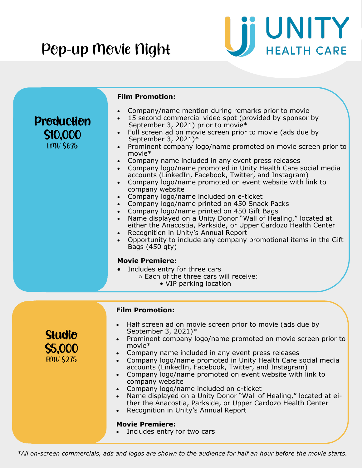

|                                              | <b>Film Promotion:</b>                                                                                                                                                                                                                                                                                                                                                                                                                                                                                                                                                                                                                                                                                                                                                                                                                                                                                                                                                                                                                                                                                                   |
|----------------------------------------------|--------------------------------------------------------------------------------------------------------------------------------------------------------------------------------------------------------------------------------------------------------------------------------------------------------------------------------------------------------------------------------------------------------------------------------------------------------------------------------------------------------------------------------------------------------------------------------------------------------------------------------------------------------------------------------------------------------------------------------------------------------------------------------------------------------------------------------------------------------------------------------------------------------------------------------------------------------------------------------------------------------------------------------------------------------------------------------------------------------------------------|
| Preductien<br>\$10,000<br><b>FMV \$635</b>   | Company/name mention during remarks prior to movie<br>15 second commercial video spot (provided by sponsor by<br>September 3, 2021) prior to movie*<br>Full screen ad on movie screen prior to movie (ads due by<br>$\bullet$<br>September 3, 2021)*<br>Prominent company logo/name promoted on movie screen prior to<br>$\bullet$<br>$move*$<br>Company name included in any event press releases<br>Company logo/name promoted in Unity Health Care social media<br>accounts (LinkedIn, Facebook, Twitter, and Instagram)<br>Company logo/name promoted on event website with link to<br>company website<br>Company logo/name included on e-ticket<br>Company logo/name printed on 450 Snack Packs<br>Company logo/name printed on 450 Gift Bags<br>Name displayed on a Unity Donor "Wall of Healing," located at<br>either the Anacostia, Parkside, or Upper Cardozo Health Center<br>Recognition in Unity's Annual Report<br>Opportunity to include any company promotional items in the Gift<br>Bags (450 gty)<br><b>Movie Premiere:</b><br>Includes entry for three cars<br>o Each of the three cars will receive: |
| <b>Studie</b><br>\$5,000<br><b>FMV \$275</b> | • VIP parking location<br><b>Film Promotion:</b><br>Half screen ad on movie screen prior to movie (ads due by<br>$\bullet$<br>September 3, 2021)*<br>Prominent company logo/name promoted on movie screen prior to<br>movie*<br>Company name included in any event press releases<br>Company logo/name promoted in Unity Health Care social media<br>accounts (LinkedIn, Facebook, Twitter, and Instagram)<br>Company logo/name promoted on event website with link to<br>$\bullet$<br>company website<br>Company logo/name included on e-ticket<br>Name displayed on a Unity Donor "Wall of Healing," located at ei-<br>ther the Anacostia, Parkside, or Upper Cardozo Health Center<br>Recognition in Unity's Annual Report<br><b>Movie Premiere:</b>                                                                                                                                                                                                                                                                                                                                                                  |
|                                              | Includes entry for two cars                                                                                                                                                                                                                                                                                                                                                                                                                                                                                                                                                                                                                                                                                                                                                                                                                                                                                                                                                                                                                                                                                              |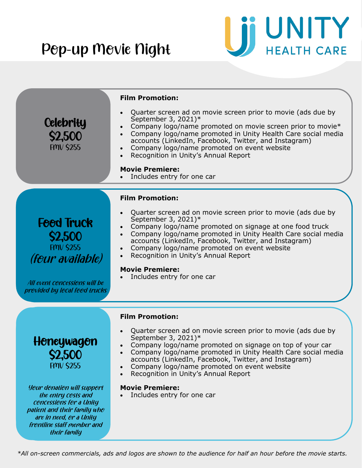

| <b>Celebrity</b><br>\$2,500<br><b>FMV \$255</b>                                                                                                                                               | <b>Film Promotion:</b><br>Quarter screen ad on movie screen prior to movie (ads due by<br>September 3, 2021)*<br>Company logo/name promoted on movie screen prior to movie*<br>Company logo/name promoted in Unity Health Care social media<br>$\bullet$<br>accounts (LinkedIn, Facebook, Twitter, and Instagram)<br>Company logo/name promoted on event website<br>Recognition in Unity's Annual Report<br><b>Movie Premiere:</b><br>Includes entry for one car |
|-----------------------------------------------------------------------------------------------------------------------------------------------------------------------------------------------|------------------------------------------------------------------------------------------------------------------------------------------------------------------------------------------------------------------------------------------------------------------------------------------------------------------------------------------------------------------------------------------------------------------------------------------------------------------|
|                                                                                                                                                                                               | <b>Film Promotion:</b><br>Quarter screen ad on movie screen prior to movie (ads due by<br>September 3, 2021)*                                                                                                                                                                                                                                                                                                                                                    |
| <b>Feed Truck</b><br><b>\$2,500</b><br><b>FMV \$255</b><br><i>(four available)</i>                                                                                                            | Company logo/name promoted on signage at one food truck<br>Company logo/name promoted in Unity Health Care social media<br>$\bullet$<br>accounts (LinkedIn, Facebook, Twitter, and Instagram)<br>Company logo/name promoted on event website<br>Recognition in Unity's Annual Report<br><b>Movie Premiere:</b>                                                                                                                                                   |
| All event concessions will be<br>previded by lecal feed trucks                                                                                                                                | Includes entry for one car                                                                                                                                                                                                                                                                                                                                                                                                                                       |
| Heneywagen<br>\$2,500<br><b>FMV \$255</b>                                                                                                                                                     | <b>Film Promotion:</b><br>Quarter screen ad on movie screen prior to movie (ads due by<br>September 3, 2021)*<br>Company logo/name promoted on signage on top of your car<br>Company logo/name promoted in Unity Health Care social media<br>$\bullet$<br>accounts (LinkedIn, Facebook, Twitter, and Instagram)<br>Company logo/name promoted on event website<br>$\bullet$<br>Recognition in Unity's Annual Report                                              |
| <b>Yeur denatien will suppert</b><br>the entry costs and<br>cencessiens fer a Unity<br>patient and their family when<br>are in need, or a Unity<br>frentline staff member and<br>their family | <b>Movie Premiere:</b><br>Includes entry for one car                                                                                                                                                                                                                                                                                                                                                                                                             |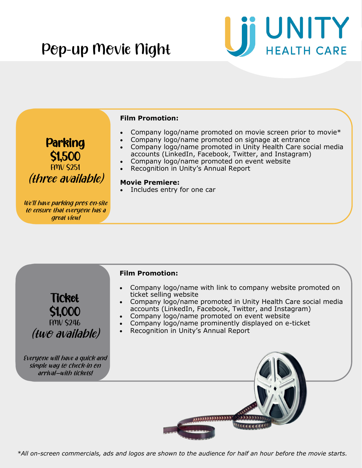

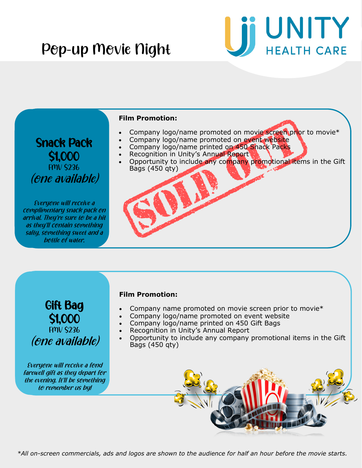

#### **Film Promotion:**

- Company logo/name promoted on movie screen prior to movie\*
- Company logo/name promoted on event website
- Company logo/name printed on 450 Snack Packs
- Recognition in Unity's Annual Report
- Opportunity to include any company promotional items in the Gift Bags (450 qty)

Snack Pack \$1,000 FMV \$236 (one available)

Everyone will receive a complimentary snack pack on arrival. They're sure to be a hit as they'll contain something salty, something sweet and a bottle of water.

#### **Film Promotion:**

- Company name promoted on movie screen prior to movie\*
- Company logo/name promoted on event website
- Company logo/name printed on 450 Gift Bags
- Recognition in Unity's Annual Report
- Opportunity to include any company promotional items in the Gift Bags (450 qty)

Everyone will receive a fond farewell gift as they depart for the evening. It'll be something to remember us by!

Gift Bag

\$1,000 FMV \$236

(one available)

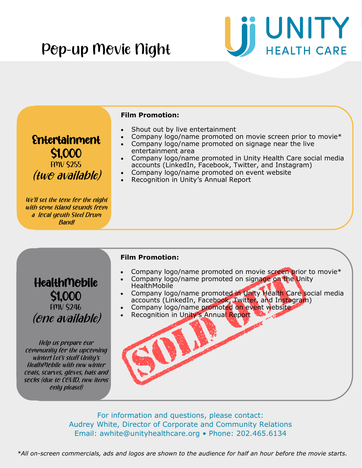



\$1,000 FMV \$246 (one available)

Help us prepare our community for the upcoming winter! Let's stuff Unity'<sup>s</sup> HealhMobile with new winter ceats, scarves, gleves, hats and socks (due to COVID, new items only please!)

- **HealthMobile**
- Company logo/name promoted in Unity Health Care social media accounts (LinkedIn, Facebook, Twitter, and Instagram)
- Company logo/name promoted on event website
- Recognition in Unity's Annual Report



For information and questions, please contact: Audrey White, Director of Corporate and Community Relations Email: awhite@unityhealthcare.org • Phone: 202.465.6134